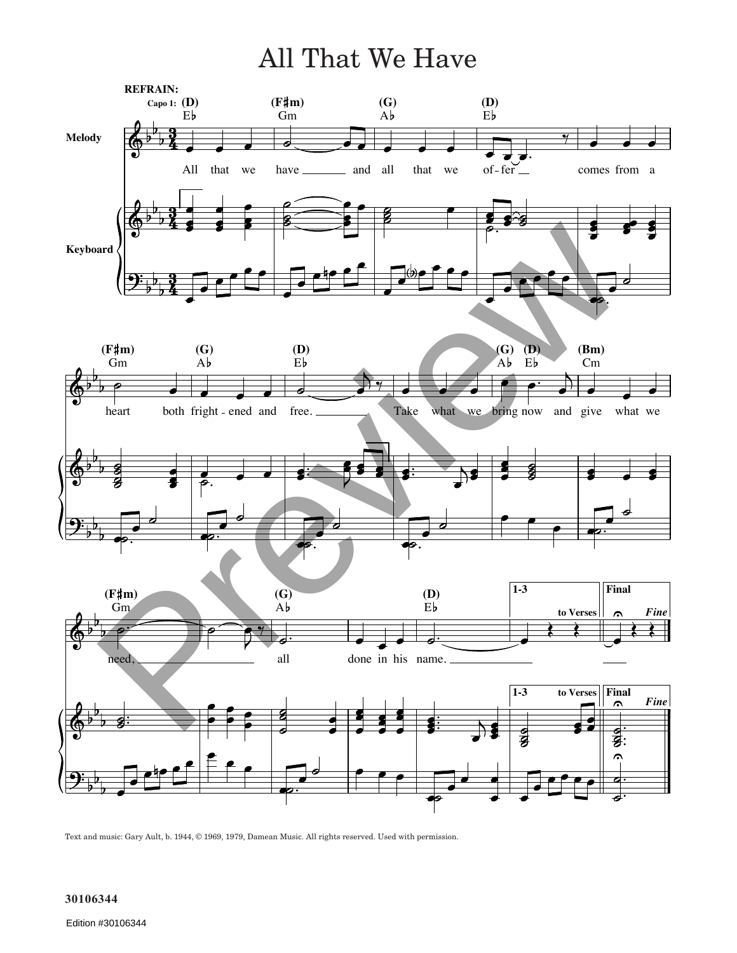## All That We Have



Text and music: Gary Ault, b. 1944, © 1969, 1979, Damean Music. All rights reserved. Used with permission.

## **30106344**

Edition #30106344